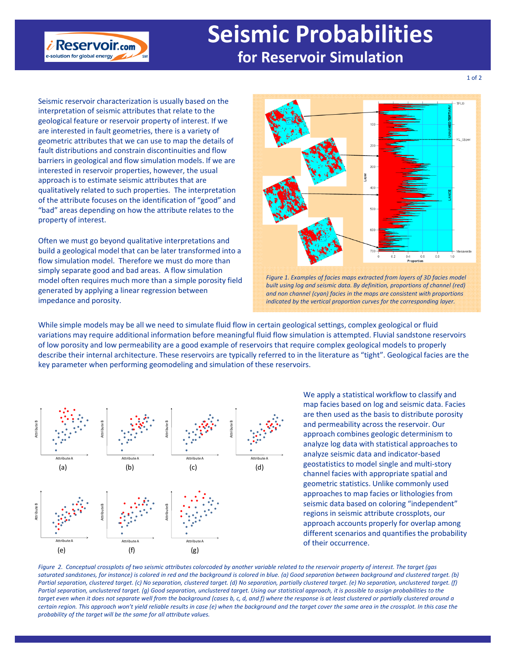## **Seismic Probabilities for Reservoir Simulation**

Seismic reservoir characterization is usually based on the interpretation of seismic attributes that relate to the geological feature or reservoir property of interest. If we are interested in fault geometries, there is a variety of geometric attributes that we can use to map the details of fault distributions and constrain discontinuities and flow barriers in geological and flow simulation models. If we are interested in reservoir properties, however, the usual approach is to estimate seismic attributes that are qualitatively related to such properties. The interpretation of the attribute focuses on the identification of "good" and "bad" areas depending on how the attribute relates to the property of interest.

 $i$  Reservoir.com e-solution for global energy

Often we must go beyond qualitative interpretations and build a geological model that can be later transformed into a flow simulation model. Therefore we must do more than simply separate good and bad areas. A flow simulation model often requires much more than a simple porosity field generated by applying a linear regression between impedance and porosity.





While simple models may be all we need to simulate fluid flow in certain geological settings, complex geological or fluid variations may require additional information before meaningful fluid flow simulation is attempted. Fluvial sandstone reservoirs of low porosity and low permeability are a good example of reservoirs that require complex geological models to properly describe their internal architecture. These reservoirs are typically referred to in the literature as "tight". Geological facies are the key parameter when performing geomodeling and simulation of these reservoirs.



We apply a statistical workflow to classify and map facies based on log and seismic data. Facies are then used as the basis to distribute porosity and permeability across the reservoir. Our approach combines geologic determinism to analyze log data with statistical approaches to analyze seismic data and indicator‐based geostatistics to model single and multi‐story channel facies with appropriate spatial and geometric statistics. Unlike commonly used approaches to map facies or lithologies from seismic data based on coloring "independent" regions in seismic attribute crossplots, our approach accounts properly for overlap among different scenarios and quantifies the probability of their occurrence.

Figure 2. Conceptual crossplots of two seismic attributes colorcoded by another variable related to the reservoir property of interest. The target (gas saturated sandstones, for instance) is colored in red and the background is colored in blue. (a) Good separation between background and clustered target. (b) Partial separation, clustered target. (c) No separation, clustered target. (d) No separation, partially clustered target. (e) No separation, unclustered target. (f) Partial separation, unclustered target. (g) Good separation, unclustered target. Using our statistical approach, it is possible to assign probabilities to the target even when it does not separate well from the background (cases b, c, d, and f) where the response is at least clustered or partially clustered around a certain region. This approach won't yield reliable results in case (e) when the background and the target cover the same area in the crossplot. In this case the *probability of the target will be the same for all attribute values.*